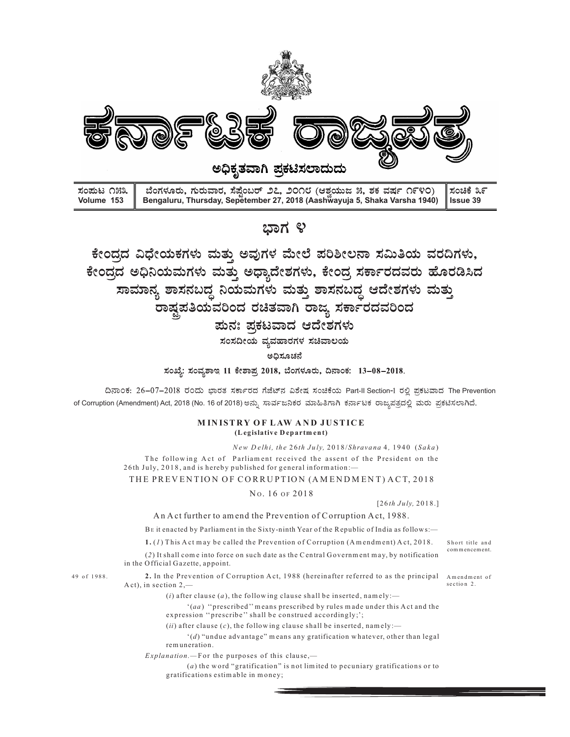

The Prevention<br>ಬೆಸಲಾಗಿದೆ.<br>Short title and<br>commencement.<br>Amendment of<br>section 2. ವಿಧೇಯಕಗಳು ಮತ್ತು ಅವುಗಳ ಮೇಲೆ ಪರಿಶೀಲನಾ ಸಮಿತಿಯ ವರದಿಗಳು,<br>ಅಧಿನಿಯಮಗಳು ಮತ್ತು ಅಧ್ಯಾದೇಶಗಳು, ಕೇಂದ್ರ ಸರ್ಕಾರದವರು ಹೊರಡಿಸಿದ<br>ಮಾನ್ಯ ಶಾಸನಬದ್ಧ ನಿಯಮಗಳು ಮತ್ತು ಶಾಸನಬದ್ಧ ಆದೇಶಗಳು ಮತ್ತು<br>ರಾಷ್ಟ್ರಪತಿಯವರಿಂದ ರಚಿತವಾಗಿ ರಾಜ್ಯ ಸರ್ಕಾರದವರಿಂದ<br>ಹುಸ್ಮ ರಾಷ್ಟ್ರ ವುಗಳ ಮೇಲೆ ಪರಿಶೀಲನಾ ಸಮಿತಿಯ ವರದಿಗಳು,<br>ಬ್ರಾವ್ಯದೇಶಗಳು, ಕೇಂದ್ರ ಸರ್ಕಾರದವರು ಹೊರಡಿಸಿದ<br>ಬಗಳು ಮತ್ತು ಶಾಸನಬದ್ಧ ಆದೇಶಗಳು ಮತ್ತು<br>ರಚಿತವಾಗಿ ರಾಜ್ಯ ಸರ್ಕಾರದವರಿಂದ<br>ಪ್ರಕಟವಾದ ಆದೇಶಗಳು<br>ಪ್ರಕಟವಾದ ಅದೇಶಗಳು<br>ಪ್ರಕಟವಾದ ಅದೇಶಗಳು<br>ಪ್ರಕಟವಾದ ಅದೇಶಗಳು<br>ಪ್ರಕಟವಾದ ಅದೇಶ [26 th J uly, 2 01 8.] A comment of the Previous Corruption of Corruption Act, 1988.<br>
The PREVENTION OF CORRUPTION (And the Prevention of Corruption And the Prevention of Corruption A correction<br>
The PREVENTION OF CORRUPTION (A ct am end the Pr  $\frac{1}{2}$   $\frac{1}{2}$   $\frac{1}{2}$   $\frac{1}{2}$   $\frac{1}{2}$   $\frac{1}{2}$   $\frac{1}{2}$   $\frac{1}{2}$   $\frac{1}{2}$   $\frac{1}{2}$   $\frac{1}{2}$   $\frac{1}{2}$   $\frac{1}{2}$   $\frac{1}{2}$   $\frac{1}{2}$   $\frac{1}{2}$   $\frac{1}{2}$   $\frac{1}{2}$   $\frac{1}{2}$   $\frac{1}{2}$   $\frac{1}{2}$   $\frac{1}{2}$  **Consigned and Solution of Corruption of Corruption Act, 1988**<br>
1. (1) This A control of Corruption Act, 1988 (hereinal correct material correct material correct material and  $\mu$  and  $\mu$  and  $\mu$  and  $\mu$  and  $\mu$  and (2) It shall come is shall computed by Detection of Correlation of the C entral G overnment and the Present of the Figure 2018 Section for the C entral G over  $\sim$  1018 Section  $\sim$  1018 Section  $\sim$  1018 Section  $\sim$  101 **EXAMPLE 12**<br> **EXAMPLE 2018**<br> **EXAMPLE 2018**<br> **EXAMPLE 2018**<br> **EXAMPLE 2018**<br> **EXAMPLE 2018**<br> **EXAMPLE 2018**<br> **EXAMPLE 2018**<br> **EXAMPLE 2018**<br> **EXAMPLE 2018**<br> **EXAMPLE 2018**<br> **EXAMPLE 2018**<br> **EXAMPLE 2018**<br> **EXAMPLE 2018**<br> ಯವಾರ, ಸೆಪ್ಟೆಂಬರ್ ೨೭, ೨೦೧೮ (ಆಶ್ರಯಜ ೫, ತಕ ವರ್ಷ ೧೯೪೦) | ಸಂಚಿಕೆ ೩೯<br>Irsday, September 27, 2018 (Aashwayuja 5, Shaka Varsha 1940) | Issue 39<br>- 2<br>2<br>2<br>2<br>2<br>2<br>2<br>3 ಕ್ಕಲ್ಪ್ರಾಂಡ್ ಮೋಲಿ ಪರಿಶೀಲನಾ ಸಮಿತಿಯ ವರದಿಗಳು,<br>ಮತ್ತು ಅಧ್ಯಾದೇಶಗಳು, ಕೇಂದ  $\frac{1}{2}$ 2000 22, 3000 (ಅತ್ತಯಿಡ 3, 30 ವರ್ಷ (R VO) – 2008 are<br>petember 27, 2018 (Aashwayuja 5, Shaka Varsha 1940) – issue 39<br>
250 7 ಲಿ<br>
26 ಲೈನ್ ಮೇಲೆ ಪರಿಶೀಲನಾ ಸಮಿತಿಯ ವರದಿಗಳು,<br>
2 ಲಿಧ್ಯಾದೇಶಗಳು, ಕೇಂದ್ರ ಸರ್ಕಾರದವರು ಹೊರಡಿಸಿದ<br>
ಮಮ  $\begin{array}{l} \mathbf{257} \ \mathbf{268} \ \mathbf{278} \ \mathbf{289} \ \mathbf{299} \ \mathbf{299} \ \mathbf{208} \ \mathbf{208} \ \mathbf{208} \ \mathbf{209} \ \mathbf{209} \ \mathbf{209} \ \mathbf{209} \ \mathbf{209} \ \mathbf{209} \ \mathbf{209} \ \mathbf{209} \ \mathbf{209} \ \mathbf{209} \ \mathbf{209} \ \mathbf{209} \ \mathbf{209} \ \mathbf{209} \ \mathbf{2$  $\begin{CD} \mathbf{C}^* \mathbf{C} \mathbf{D} \mathbf{C} \mathbf{C} \mathbf{D} \mathbf{C} \mathbf{C} \mathbf{C} \mathbf{C} \mathbf{C} \mathbf{C} \mathbf{C} \mathbf{C} \mathbf{C} \mathbf{C} \mathbf{C} \mathbf{C} \mathbf{C} \mathbf{C} \mathbf{C} \mathbf{C} \mathbf{C} \mathbf{C} \mathbf{C} \mathbf{C} \mathbf{C} \mathbf{C} \mathbf{C} \mathbf{C} \mathbf{C} \mathbf{C} \mathbf{C} \mathbf{C} \mathbf{C} \mathbf$  $250\text{N}$  8<br>
2 and the Properties of the Properties of the President Properties of an analysis of the Paris of the Paris of the Paris of the Paris of the Paris of the Paris of the Paris of the Paris of the Paris of the P

ದಿನಾಂಕ: 26-07-2018 ರಂದು ಭಾರತ ಸರ್ಕಾರದ ಗೆಜೆಟ್ನ್ ವಿಶೇಷ ಸಂಚಿಕೆಯ Part-II Section-1 ರಲಿ ಪಕಟವಾದ The Prevention of Corruption (Amendment) Act, 2018 (No. 16 of 2018)

**2. In the P revention of Corruption of Corruption of Corruption of Corruption of Corruption of Corruption of Corruption of Corruption of Correlation of Correlation of Correlation of Correlation of Correlation of Correlat** A consider a model of the same of the section 2,<br>  $\frac{1}{2}$  (*i*) are the same of the same of the same of the same of the same of the same of the same of the same of the same of the same of the same of the same of the sam **EQUARGESE (A)** and the following distribution of the following clause of  $\alpha$ ), the following clause  $\alpha$  and  $\alpha$  and  $\alpha$  and  $\alpha$  and  $\alpha$  and  $\alpha$  and  $\alpha$  and  $\alpha$  and  $\alpha$  and  $\alpha$  and  $\alpha$  and  $\alpha$  and  $\alpha$  and  $\$ '(aa ) ''prescribed'' m eans prescribed by rules m ade under this A ct and the expression in the constrained method of the state of the state of the state of the state of the state of the state of the state of the state of the state of the state of the state of the constrained according to the const (i) after clause  $\pi$  method of  $\pi$  and  $\pi$  and  $\pi$  and  $\pi$  and  $\pi$  and  $\pi$  and  $\pi$  and  $\pi$  and  $\pi$  and  $\pi$  and  $\pi$  and  $\pi$  and  $\pi$  and  $\pi$  and  $\pi$  and  $\pi$  and  $\pi$  and  $\pi$  and  $\pi$  and  $\pi$  and  $\pi$  and '(d) "undue advantage" m eans any gratification w hatever, other than legal rt, 2018 (No. 16 of 2018) exact Existence Size Existence of the Conservation.<br>
MINISTRY OF LAW AND JUSTICE<br>
New Dethi, the 26th July, 2018/Shravana 4, 1940 (Saka)<br>
Dilowing Act of Partiament received the assett of the Pre **EXECT AT AN AND JUSTICE**<br>
( $k_{\text{CE}}$   $N_{\text{E}}$   $D$  ( $k_{\text{E}}$   $D$ ) ( $k_{\text{E}}$   $D$ ) ( $k_{\text{E}}$   $D$ ) ( $k_{\text{E}}$   $D$ ) ( $k_{\text{E}}$   $D$ ) ( $k_{\text{E}}$   $D$ ) ( $k_{\text{E}}$   $D$ ) ( $k_{\text{E}}$   $D$ ) ( $k_{\text{E}}$   $D$ ) ( $k_{\text{E}}$   $D$ ) ( $k_{\text{E}}$ (a) the Weakly of Person and the pecuniary or to the pecuniary gratification" is not limit to perform the person of the persident on the distinct person of the persident on the MTION OF CORRUPTION (AMENDMENT) ACT, 2018<br>NO **FICKERS Equivalent States extime the set of second in the set of second in the number of set of set of set of set of set of set of set of set of set of set of set of set of set of set of set of set of set of set of set**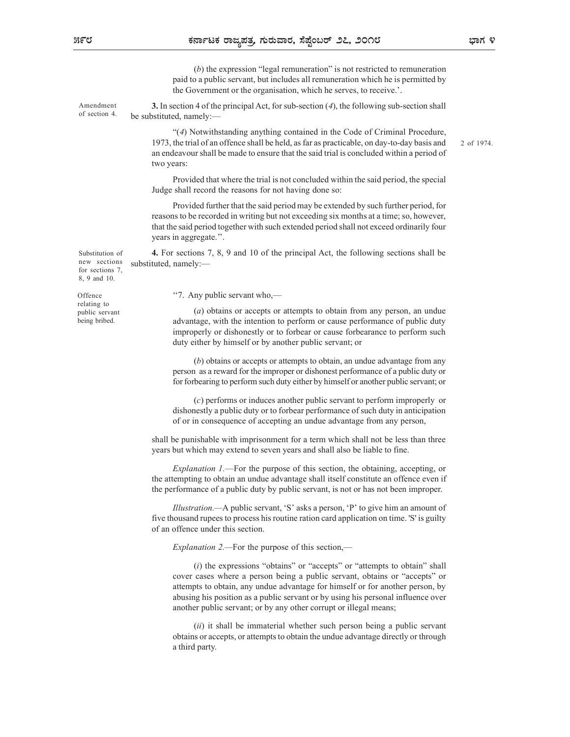(b) the expression "legal remuneration" is not restricted to remuneration paid to a public servant, but includes all remuneration which he is permitted by the Government or the organisation, which he serves, to receive.'.

Amendment 3. In section 4 of the principal Act, for sub-section  $(4)$ , the following sub-section shall be substituted, namely:— of section 4.

> "(4) Notwithstanding anything contained in the Code of Criminal Procedure, 1973, the trial of an offence shall be held, as far as practicable, on day-to-day basis and an endeavour shall be made to ensure that the said trial is concluded within a period of two years:

Provided that where the trial is not concluded within the said period, the special Judge shall record the reasons for not having done so:

Provided further that the said period may be extended by such further period, for reasons to be recorded in writing but not exceeding six months at a time; so, however, that the said period together with such extended period shall not exceed ordinarily four years in aggregate.''.

Substitution of **4.** For sections 7, 8, 9 and 10 of the principal Act, the following sections shall be new sections substituted, namely:—

for sections 7, 8, 9 and 10.

relating to public servant being bribed.

''7. Any public servant who,— Offence

(a) obtains or accepts or attempts to obtain from any person, an undue advantage, with the intention to perform or cause performance of public duty improperly or dishonestly or to forbear or cause forbearance to perform such duty either by himself or by another public servant; or

(b) obtains or accepts or attempts to obtain, an undue advantage from any person as a reward for the improper or dishonest performance of a public duty or for forbearing to perform such duty either by himself or another public servant; or

(c) performs or induces another public servant to perform improperly or dishonestly a public duty or to forbear performance of such duty in anticipation of or in consequence of accepting an undue advantage from any person,

shall be punishable with imprisonment for a term which shall not be less than three years but which may extend to seven years and shall also be liable to fine.

Explanation 1.—For the purpose of this section, the obtaining, accepting, or the attempting to obtain an undue advantage shall itself constitute an offence even if the performance of a public duty by public servant, is not or has not been improper.

Illustration.—A public servant, 'S' asks a person, 'P' to give him an amount of five thousand rupees to process his routine ration card application on time. 'S' is guilty of an offence under this section.

Explanation 2.—For the purpose of this section,—

 $(i)$  the expressions "obtains" or "accepts" or "attempts to obtain" shall cover cases where a person being a public servant, obtains or "accepts" or attempts to obtain, any undue advantage for himself or for another person, by abusing his position as a public servant or by using his personal influence over another public servant; or by any other corrupt or illegal means;

 $(ii)$  it shall be immaterial whether such person being a public servant obtains or accepts, or attempts to obtain the undue advantage directly or through a third party.

2 of 1974.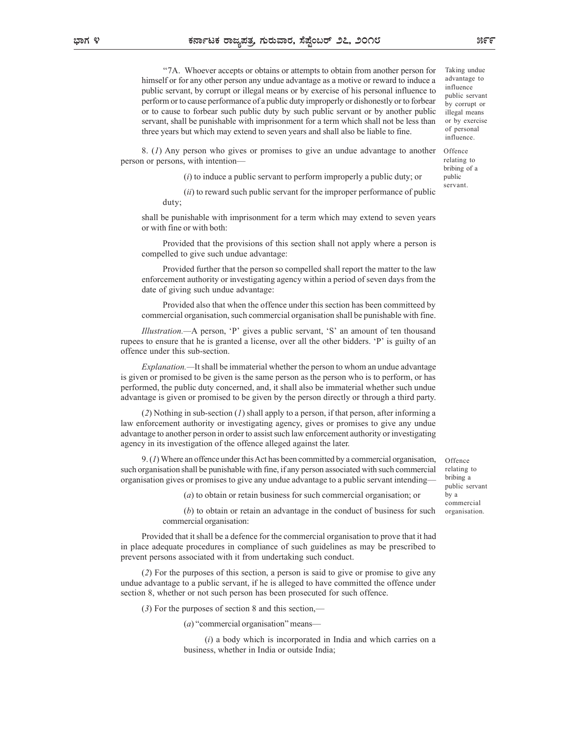''7A. Whoever accepts or obtains or attempts to obtain from another person for himself or for any other person any undue advantage as a motive or reward to induce a public servant, by corrupt or illegal means or by exercise of his personal influence to perform or to cause performance of a public duty improperly or dishonestly or to forbear or to cause to forbear such public duty by such public servant or by another public servant, shall be punishable with imprisonment for a term which shall not be less than three years but which may extend to seven years and shall also be liable to fine.

8. (1) Any person who gives or promises to give an undue advantage to another person or persons, with intention—

 $(i)$  to induce a public servant to perform improperly a public duty; or

 $(ii)$  to reward such public servant for the improper performance of public duty;

shall be punishable with imprisonment for a term which may extend to seven years or with fine or with both:

Provided that the provisions of this section shall not apply where a person is compelled to give such undue advantage:

Provided further that the person so compelled shall report the matter to the law enforcement authority or investigating agency within a period of seven days from the date of giving such undue advantage:

Provided also that when the offence under this section has been committeed by commercial organisation, such commercial organisation shall be punishable with fine.

Illustration.—A person, 'P' gives a public servant, 'S' an amount of ten thousand rupees to ensure that he is granted a license, over all the other bidders. 'P' is guilty of an offence under this sub-section.

Explanation.—It shall be immaterial whether the person to whom an undue advantage is given or promised to be given is the same person as the person who is to perform, or has performed, the public duty concerned, and, it shall also be immaterial whether such undue advantage is given or promised to be given by the person directly or through a third party. shall be public duty concerned, and it shall also be immetrial whether stopped to a person is compelled to give such under advantage.<br>
Provided that the provisions of this section shall not apply where a person is compell

(2) Nothing in sub-section  $(I)$  shall apply to a person, if that person, after informing a law enforcement authority or investigating agency, gives or promises to give any undue advantage to another person in order to assist such law enforcement authority or investigating agency in its investigation of the offence alleged against the later.

such organisation shall be punishable with fine, if any person associated with such commercial organisation gives or promises to give any undue advantage to a public servant intending—

(a) to obtain or retain business for such commercial organisation; or

(b) to obtain or retain an advantage in the conduct of business for such commercial organisation:

Provided that it shall be a defence for the commercial organisation to prove that it had in place adequate procedures in compliance of such guidelines as may be prescribed to prevent persons associated with it from undertaking such conduct.

(2) For the purposes of this section, a person is said to give or promise to give any undue advantage to a public servant, if he is alleged to have committed the offence under section 8, whether or not such person has been prosecuted for such offence.

 $(3)$  For the purposes of section 8 and this section,—

(a) "commercial organisation" means—

 $(i)$  a body which is incorporated in India and which carries on a business, whether in India or outside India;

ಭಾಗ ೪

Offence relating to bribing a public servant by a commercial organisation.

illegal means or by exercise of personal influence. Offence relating to bribing of a

public servant.

Taking undue advantage to influence public servant by corrupt or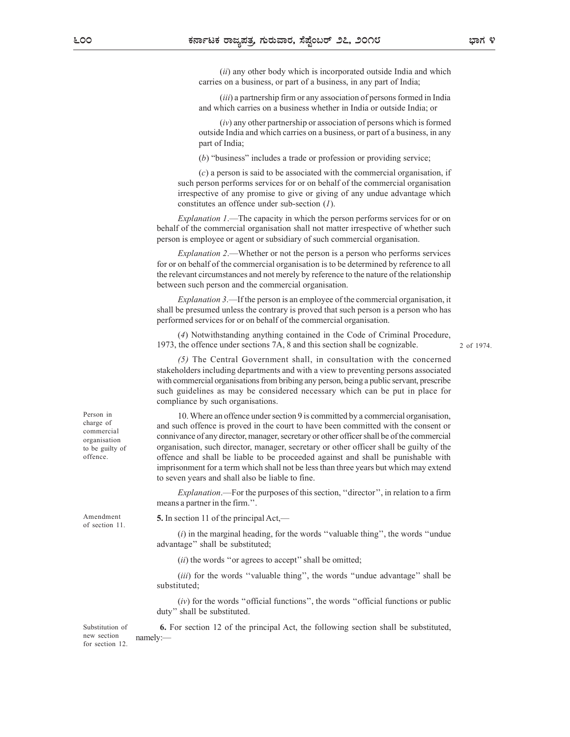(ii) any other body which is incorporated outside India and which carries on a business, or part of a business, in any part of India;

(*iii*) a partnership firm or any association of persons formed in India and which carries on a business whether in India or outside India; or

 $(iv)$  any other partnership or association of persons which is formed outside India and which carries on a business, or part of a business, in any part of India;

(b) "business" includes a trade or profession or providing service;

(c) a person is said to be associated with the commercial organisation, if such person performs services for or on behalf of the commercial organisation irrespective of any promise to give or giving of any undue advantage which constitutes an offence under sub-section (1).

Explanation 1.—The capacity in which the person performs services for or on behalf of the commercial organisation shall not matter irrespective of whether such person is employee or agent or subsidiary of such commercial organisation.

Explanation 2.—Whether or not the person is a person who performs services for or on behalf of the commercial organisation is to be determined by reference to all the relevant circumstances and not merely by reference to the nature of the relationship between such person and the commercial organisation.

Explanation 3.—If the person is an employee of the commercial organisation, it shall be presumed unless the contrary is proved that such person is a person who has performed services for or on behalf of the commercial organisation.

(4) Notwithstanding anything contained in the Code of Criminal Procedure, 1973, the offence under sections 7A, 8 and this section shall be cognizable.

2 of 1974.

(5) The Central Government shall, in consultation with the concerned stakeholders including departments and with a view to preventing persons associated with commercial organisations from bribing any person, being a public servant, prescribe such guidelines as may be considered necessary which can be put in place for compliance by such organisations.

10. Where an offence under section 9 is committed by a commercial organisation, Person in and such offence is proved in the court to have been committed with the consent or charge of connivance of any director, manager, secretary or other officer shall be of the commercial organisation to be guilty of organisation, such director, manager, secretary or other officer shall be guilty of the offence and shall be liable to be proceeded against and shall be punishable with offence. imprisonment for a term which shall not be less than three years but which may extend to seven years and shall also be liable to fine.

> Explanation.—For the purposes of this section, ''director'', in relation to a firm means a partner in the firm.''.

Amendment 5. In section 11 of the principal Act,—

 $(i)$  in the marginal heading, for the words "valuable thing", the words "undue" advantage'' shall be substituted;

 $(ii)$  the words "or agrees to accept" shall be omitted;

(*iii*) for the words "valuable thing", the words "undue advantage" shall be substituted;

(iv) for the words ''official functions'', the words ''official functions or public duty'' shall be substituted.

Substitution of **6.** For section 12 of the principal Act, the following section shall be substituted, namely:— example of the state of the state of the state of the state of the state of the state of the state of the state of the state of the state of the state of the state of the state of the state of the state of the sta new section namely: for section 12.

commercial

of section 11.

ಭಾಗ ೪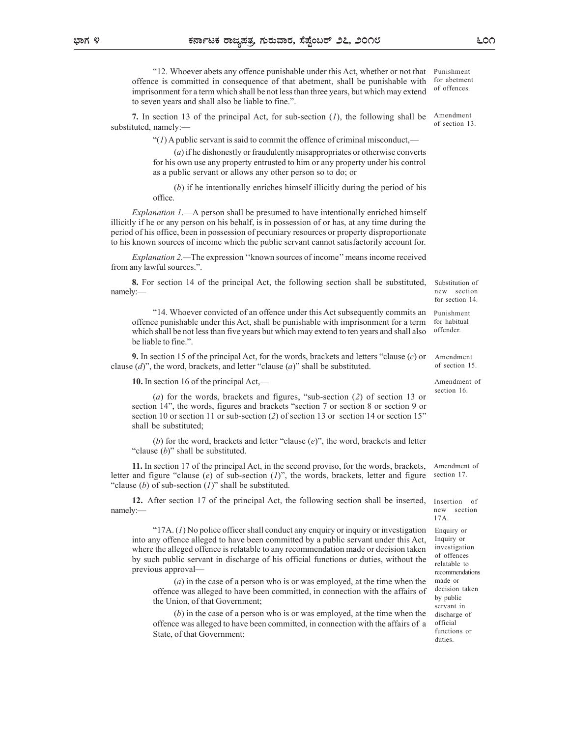"12. Whoever abets any offence punishable under this Act, whether or not that offence is committed in consequence of that abetment, shall be punishable with imprisonment for a term which shall be not less than three years, but which may extend to seven years and shall also be liable to fine.". Punishment

7. In section 13 of the principal Act, for sub-section  $(I)$ , the following shall be substituted, namely:— Amendment of section 13.

 $''(1)$  A public servant is said to commit the offence of criminal misconduct,—

(a) if he dishonestly or fraudulently misappropriates or otherwise converts for his own use any property entrusted to him or any property under his control as a public servant or allows any other person so to do; or

(b) if he intentionally enriches himself illicitly during the period of his office.

Explanation 1.—A person shall be presumed to have intentionally enriched himself illicitly if he or any person on his behalf, is in possession of or has, at any time during the period of his office, been in possession of pecuniary resources or property disproportionate to his known sources of income which the public servant cannot satisfactorily account for.

Explanation 2.—The expression ''known sources of income'' means income received from any lawful sources.".

8. For section 14 of the principal Act, the following section shall be substituted, namely:— neutral namely: the contract of the contract of the contract of the contract of the contract of the contract of the contract of the contract of the contract of the contract of the contract of the contract of the c

"14. Whoever convicted of an offence under this Act subsequently commits an offence punishable under this Act, shall be punishable with imprisonment for a term which shall be not less than five years but which may extend to ten years and shall also be liable to fine.".

9. In section 15 of the principal Act, for the words, brackets and letters "clause (c) or clause  $(d)$ ", the word, brackets, and letter "clause  $(a)$ " shall be substituted.

10. In section 16 of the principal Act,—

(a) for the words, brackets and figures, "sub-section (2) of section 13 or section 14", the words, figures and brackets "section 7 or section 8 or section 9 or section 10 or section 11 or sub-section (2) of section 13 or section 14 or section 15" shall be substituted;

(b) for the word, brackets and letter "clause  $(e)$ ", the word, brackets and letter "clause  $(b)$ " shall be substituted.

11. In section 17 of the principal Act, in the second proviso, for the words, brackets, letter and figure "clause  $(e)$  of sub-section  $(I)$ ", the words, brackets, letter and figure "clause  $(b)$  of sub-section  $(I)$ " shall be substituted.

12. After section 17 of the principal Act, the following section shall be inserted, namely:—

"17A.  $(I)$  No police officer shall conduct any enquiry or inquiry or investigation into any offence alleged to have been committed by a public servant under this Act, where the alleged offence is relatable to any recommendation made or decision taken by such public servant in discharge of his official functions or duties, without the previous approval—

(a) in the case of a person who is or was employed, at the time when the offence was alleged to have been committed, in connection with the affairs of the Union, of that Government;

(b) in the case of a person who is or was employed, at the time when the offence was alleged to have been committed, in connection with the affairs of a State, of that Government;

Substitution of new section for section 14.

Punishment for habitual offender.

Amendment of section 15.

Amendment of section 16.

Amendment of section 17.

Insertion of new section 17A.

Enquiry or Inquiry or investigation of offences relatable to recommendations made or decision taken by public servant in discharge of official functions or duties.

for abetment of offences.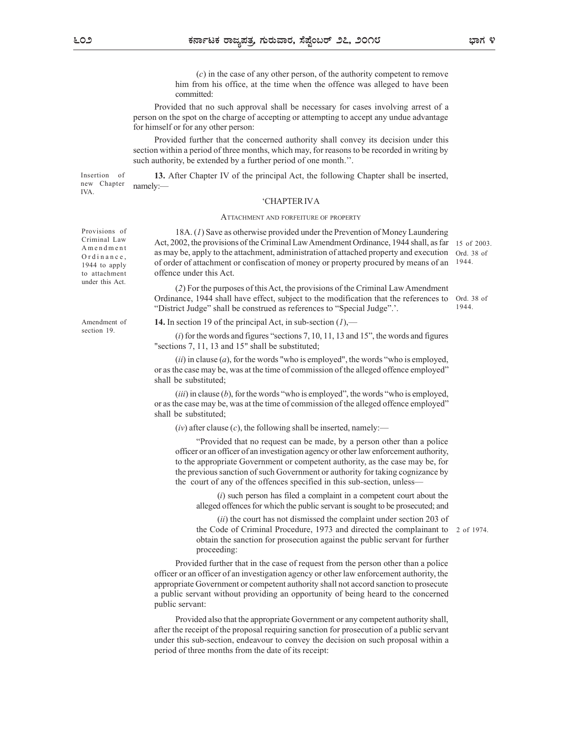(c) in the case of any other person, of the authority competent to remove him from his office, at the time when the offence was alleged to have been committed:

Provided that no such approval shall be necessary for cases involving arrest of a person on the spot on the charge of accepting or attempting to accept any undue advantage for himself or for any other person:

Provided further that the concerned authority shall convey its decision under this section within a period of three months, which may, for reasons to be recorded in writing by such authority, be extended by a further period of one month.''.

Insertion of **13.** After Chapter IV of the principal Act, the following Chapter shall be inserted, namely:— example of the state of the state of the state of the state of the state of the state of the state of the state of the state of the state of the state of the state of the state of the state of the state of the sta new Chapter namely:-

## 'CHAPTER IV A

**Contagration**, **Container And Formular Container And Formular And Formular Set and Container Set and the time when the offence was alleged to have been uch approval shall be necessary for cases involving arrest of a chap** 18A. (1) Save as otherwise provided under the Prevention of Money Laundering Provisions of Act, 2002, the provisions of the Criminal Law Amendment Ordinance, 1944 shall, as far 15 of 2003. Criminal Law as may be, apply to the attachment, administration of attached property and execution Ord. 38 of 1944 to apply of order of attachment or confiscation of money or property procured by means of an 1944. to attachment offence under this Act. 1944. **EXECUTE THE SET THE SET ON A MORE CONSERVANCE CONSERVANCE (2)** For the case of any other person, of the authority competent to recommitted:<br>
(a) in the case of any other person, of the authority competent to recommitted: **EXECUTE THE SET CONDUCE THE CONDUCTER CONDUCT AND THE SET CONDUCT THAN A CONDUCT (C) in the case of any other person, of the authority competent to remain some spot on the spherop of a coepting or attempting to accept an** 

(2) For the purposes of this Act, the provisions of the Criminal Law Amendment Ordinance, 1944 shall have effect, subject to the modification that the references to "District Judge" shall be construed as references to "Special Judge".'. Ord. 38 of 1944.

Amendment of **14.** In section 19 of the principal Act, in sub-section  $(I)$ , section 19

shall be substituted;

 $(i)$  for the words and figures "sections 7, 10, 11, 13 and 15", the words and figures

"sections 7, 11, 13 and 15" shall be substituted; (ii) in clause (a), for the words "who is employed", the words "who is employed, or as the case may be, was at the time of commission of the alleged offence employed"

(iii) in clause  $(b)$ , for the words "who is employed", the words "who is employed, or as the case may be, was at the time of commission of the alleged offence employed" shall be substituted;

 $(iv)$  after clause  $(c)$ , the following shall be inserted, namely:—

"Provided that no request can be made, by a person other than a police officer or an officer of an investigation agency or other law enforcement authority, to the appropriate Government or competent authority, as the case may be, for the previous sanction of such Government or authority for taking cognizance by the court of any of the offences specified in this sub-section, unless—

 $(i)$  such person has filed a complaint in a competent court about the alleged offences for which the public servant is sought to be prosecuted; and

(*ii*) the court has not dismissed the complaint under section 203 of the Code of Criminal Procedure, 1973 and directed the complainant to obtain the sanction for prosecution against the public servant for further proceeding: 2 of 1974.

Provided further that in the case of request from the person other than a police officer or an officer of an investigation agency or other law enforcement authority, the appropriate Government or competent authority shall not accord sanction to prosecute a public servant without providing an opportunity of being heard to the concerned public servant:

Provided also that the appropriate Government or any competent authority shall, after the receipt of the proposal requiring sanction for prosecution of a public servant under this sub-section, endeavour to convey the decision on such proposal within a period of three months from the date of its receipt:

IVA.

under this Act.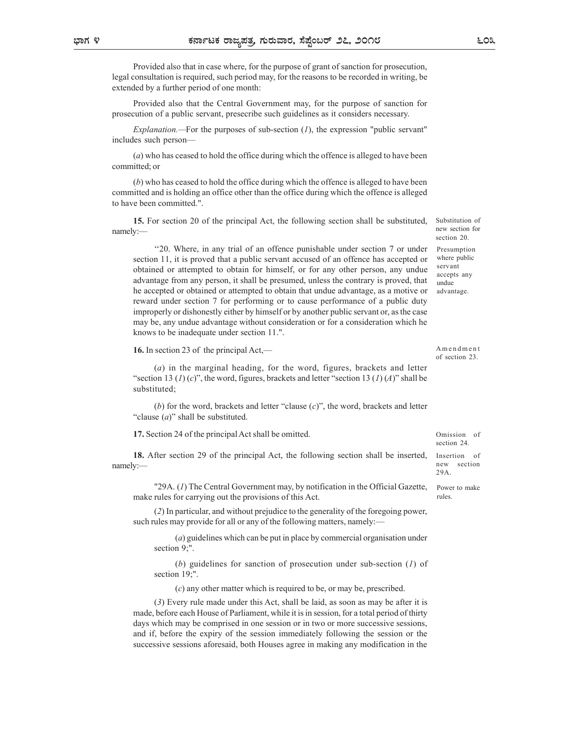Provided also that in case where, for the purpose of grant of sanction for prosecution, legal consultation is required, such period may, for the reasons to be recorded in writing, be extended by a further period of one month:

Provided also that the Central Government may, for the purpose of sanction for prosecution of a public servant, presecribe such guidelines as it considers necessary.

Explanation.—For the purposes of sub-section  $(I)$ , the expression "public servant" includes such person—

(a) who has ceased to hold the office during which the offence is alleged to have been committed; or

(b) who has ceased to hold the office during which the offence is alleged to have been committed and is holding an office other than the office during which the offence is alleged to have been committed.".

15. For section 20 of the principal Act, the following section shall be substituted, namely:— new the contract of the contract of the contract of the contract of the contract of the contract of the contract of the contract of the contract of the contract of the contract of the contract of the contract of t

''20. Where, in any trial of an offence punishable under section 7 or under section 11, it is proved that a public servant accused of an offence has accepted or obtained or attempted to obtain for himself, or for any other person, any undue advantage from any person, it shall be presumed, unless the contrary is proved, that undue he accepted or obtained or attempted to obtain that undue advantage, as a motive or reward under section 7 for performing or to cause performance of a public duty improperly or dishonestly either by himself or by another public servant or, as the case may be, any undue advantage without consideration or for a consideration which he knows to be inadequate under section 11.". is such person—<br>
(c) who has ceased to hold the office during which the offence is alleged to have been<br>
(the who has ceased to hold the office during which the offence is alleged to have been<br>
ditted orticle and is boldi

16. In section 23 of the principal Act,—

(a) in the marginal heading, for the word, figures, brackets and letter substituted;

(b) for the word, brackets and letter "clause  $(c)$ ", the word, brackets and letter "clause  $(a)$ " shall be substituted.

17. Section 24 of the principal Act shall be omitted.

18. After section 29 of the principal Act, the following section shall be inserted, Insertion of namely:— neuron and the set of the set of the set of the set of the set of the set of the set of the set of the set of the set of the set of the set of the set of the set of the set of the set of the set of the set of the

"29A. (1) The Central Government may, by notification in the Official Gazette, make rules for carrying out the provisions of this Act.

(2) In particular, and without prejudice to the generality of the foregoing power, such rules may provide for all or any of the following matters, namely:-

(a) guidelines which can be put in place by commercial organisation under section 9:".

(b) guidelines for sanction of prosecution under sub-section  $(1)$  of

(c) any other matter which is required to be, or may be, prescribed.

So to be madequate under section 11.".<br>
section 23 of the principal Act,<br>
(a) in the marginal heading, for the word, figures, brackets and letter<br>
(b) in the marginal heading, for the word, figures, brackets and letter<br>
( (3) Every rule made under this Act, shall be laid, as soon as may be after it is made, before each House of Parliament, while it is in session, for a total period of thirty days which may be comprised in one session or in two or more successive sessions, and if, before the expiry of the session immediately following the session or the successive sessions aforesaid, both Houses agree in making any modification in the

new section for section 20. Presumption where public servant accepts any Substitution of<br>new section for<br>section 20.<br>The multiplication and the servant<br>servant accepts any<br>undue<br>advantage.<br>A m en d m en t<br>of section 23.

advantage.

undue

Substitution of

of section 23.

Omission of section 24

Insertion new section 29A.

Power to make rules.